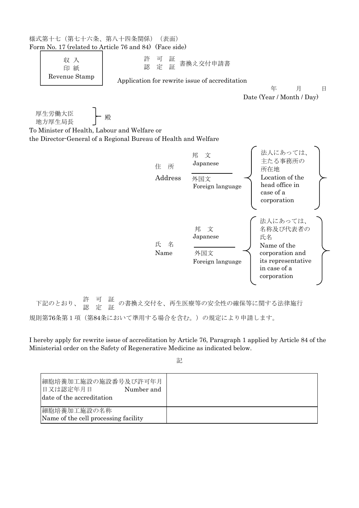| 様式第十七 (第七十六条、第八十四条関係)<br>Form No. 17 (related to Article 76 and 84) (Face side)                                                     | (表面)             |                                                    |                                                                                                                   |
|-------------------------------------------------------------------------------------------------------------------------------------|------------------|----------------------------------------------------|-------------------------------------------------------------------------------------------------------------------|
| 収 入<br>印紙                                                                                                                           | 許<br>可<br>認<br>定 | 証<br>書換え交付申請書<br>証                                 |                                                                                                                   |
| Revenue Stamp                                                                                                                       |                  | Application for rewrite issue of accreditation     | 年<br>月<br>日<br>Date (Year / Month / Day)                                                                          |
| 厚生労働大臣<br>地方厚生局長<br>To Minister of Health, Labour and Welfare or<br>the Director-General of a Regional Bureau of Health and Welfare | 殿                |                                                    |                                                                                                                   |
|                                                                                                                                     | 住<br>Address     | 邦 文<br>Japanese<br>所<br>外国文<br>Foreign language    | 法人にあっては、<br>主たる事務所の<br>所在地<br>Location of the<br>head office in<br>case of a<br>corporation                       |
|                                                                                                                                     | 氏<br>Name        | 邦<br>文<br>Japanese<br>名<br>外国文<br>Foreign language | 法人にあっては、<br>名称及び代表者の<br>氏名<br>Name of the<br>corporation and<br>its representative<br>in case of a<br>corporation |
| 許<br>認<br>下記のとおり、                                                                                                                   | 証証               |                                                    | の書換え交付を、再生医療等の安全性の確保等に関する法律施行                                                                                     |
| 規則第76条第1項(第84条において準用する場合を含む。)の規定により申請します。                                                                                           |                  |                                                    |                                                                                                                   |

I hereby apply for rewrite issue of accreditation by Article 76, Paragraph 1 applied by Article 84 of the Ministerial order on the Safety of Regenerative Medicine as indicated below.

記

| 細胞培養加工施設の施設番号及び許可年月<br>日又は認定年月日<br>Number and<br>date of the accreditation |  |
|----------------------------------------------------------------------------|--|
| 細胞培養加工施設の名称<br>Name of the cell processing facility                        |  |